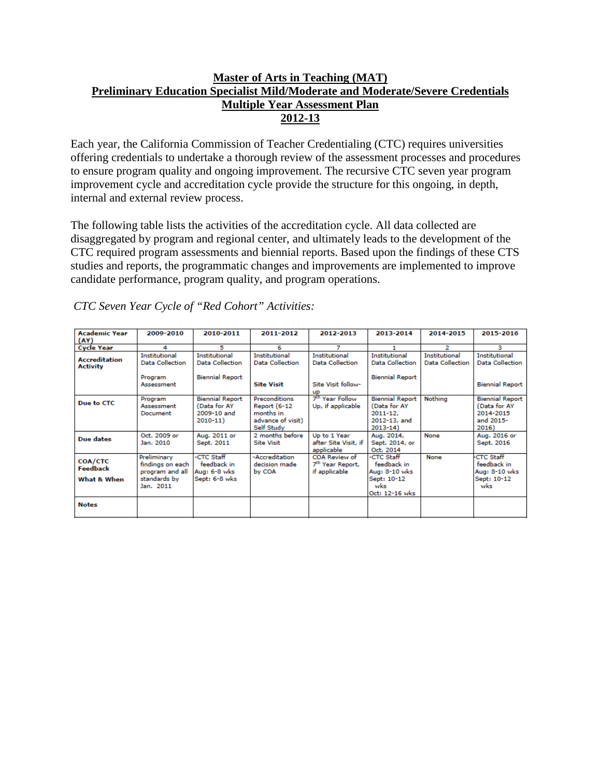# **Master of Arts in Teaching (MAT) Preliminary Education Specialist Mild/Moderate and Moderate/Severe Credentials Multiple Year Assessment Plan 2012-13**

Each year, the California Commission of Teacher Credentialing (CTC) requires universities offering credentials to undertake a thorough review of the assessment processes and procedures to ensure program quality and ongoing improvement. The recursive CTC seven year program improvement cycle and accreditation cycle provide the structure for this ongoing, in depth, internal and external review process.

The following table lists the activities of the accreditation cycle. All data collected are disaggregated by program and regional center, and ultimately leads to the development of the CTC required program assessments and biennial reports. Based upon the findings of these CTS studies and reports, the programmatic changes and improvements are implemented to improve candidate performance, program quality, and program operations.

| <b>Academic Year</b>                    | 2009-2010                                                                       | 2010-2011                                                            | 2011-2012                                                                     | 2012-2013                                                      | 2013-2014                                                                             | 2014-2015                        | 2015-2016                                                                 |
|-----------------------------------------|---------------------------------------------------------------------------------|----------------------------------------------------------------------|-------------------------------------------------------------------------------|----------------------------------------------------------------|---------------------------------------------------------------------------------------|----------------------------------|---------------------------------------------------------------------------|
| (AY)                                    |                                                                                 |                                                                      |                                                                               |                                                                |                                                                                       |                                  |                                                                           |
| <b>Cycle Year</b>                       | 4                                                                               | 5                                                                    | 6                                                                             |                                                                |                                                                                       | 2                                | з                                                                         |
| <b>Accreditation</b><br><b>Activity</b> | Institutional<br><b>Data Collection</b>                                         | <b>Institutional</b><br><b>Data Collection</b>                       | Institutional<br>Data Collection                                              | Institutional<br>Data Collection                               | Institutional<br><b>Data Collection</b>                                               | Institutional<br>Data Collection | Institutional<br><b>Data Collection</b>                                   |
|                                         | Program<br>Assessment                                                           | <b>Biennial Report</b>                                               | <b>Site Visit</b>                                                             | Site Visit follow-<br>up                                       | <b>Biennial Report</b>                                                                |                                  | <b>Biennial Report</b>                                                    |
| Due to CTC                              | Program<br>Assessment<br>Document                                               | <b>Biennial Report</b><br>(Data for AY<br>2009-10 and<br>$2010 - 11$ | Preconditions<br>Report (6-12<br>months in<br>advance of visit)<br>Self Study | 7 <sup>th</sup> Year Follow<br>Up, if applicable               | <b>Biennial Report</b><br>(Data for AY<br>$2011 - 12,$<br>2012-13, and<br>$2013 - 14$ | Nothing                          | <b>Biennial Report</b><br>(Data for AY<br>2014-2015<br>and 2015-<br>2016) |
| Due dates                               | Oct. 2009 or<br>Jan. 2010                                                       | Aug. 2011 or<br>Sept. 2011                                           | 2 months before<br><b>Site Visit</b>                                          | Up to 1 Year<br>after Site Visit, if<br>applicable             | Aug. 2014,<br>Sept. 2014, or<br>Oct. 2014                                             | None                             | Aug. 2016 or<br>Sept. 2016                                                |
| COA/CTC<br>Feedback<br>What & When      | Preliminary<br>findings on each<br>program and all<br>standards by<br>Jan. 2011 | -CTC Staff<br>feedback in<br>Aug: 6-8 wks<br>Sept: 6-8 wks           | -Accreditation<br>decision made<br>by COA                                     | COA Review of<br>7 <sup>th</sup> Year Report,<br>if applicable | -CTC Staff<br>feedback in<br>Aug: 8-10 wks<br>Sept: 10-12<br>wks<br>Oct: 12-16 wks    | None                             | <b>CTC Staff</b><br>feedback in<br>Aug: 8-10 wks<br>Sept: 10-12<br>wks    |
| <b>Notes</b>                            |                                                                                 |                                                                      |                                                                               |                                                                |                                                                                       |                                  |                                                                           |

*CTC Seven Year Cycle of "Red Cohort" Activities:*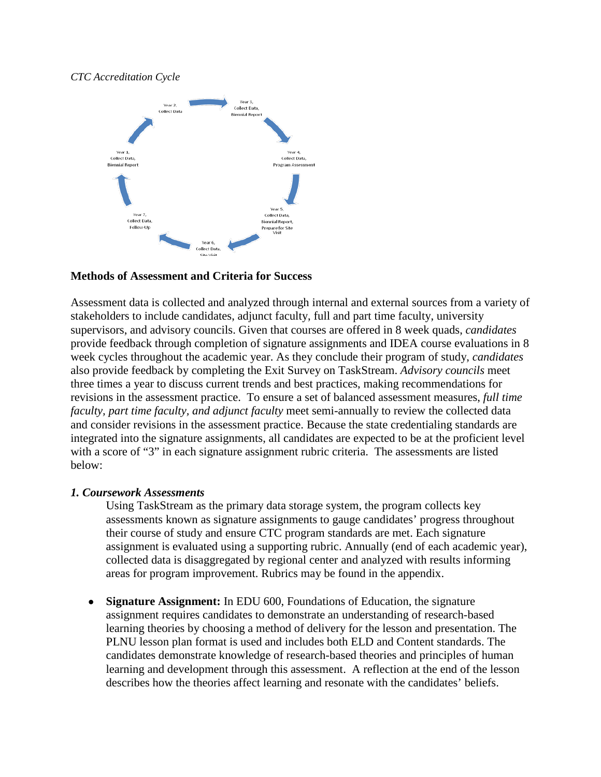#### *CTC Accreditation Cycle*



### **Methods of Assessment and Criteria for Success**

Assessment data is collected and analyzed through internal and external sources from a variety of stakeholders to include candidates, adjunct faculty, full and part time faculty, university supervisors, and advisory councils. Given that courses are offered in 8 week quads, *candidates* provide feedback through completion of signature assignments and IDEA course evaluations in 8 week cycles throughout the academic year. As they conclude their program of study, *candidates* also provide feedback by completing the Exit Survey on TaskStream. *Advisory councils* meet three times a year to discuss current trends and best practices, making recommendations for revisions in the assessment practice. To ensure a set of balanced assessment measures, *full time faculty, part time faculty, and adjunct faculty* meet semi-annually to review the collected data and consider revisions in the assessment practice. Because the state credentialing standards are integrated into the signature assignments, all candidates are expected to be at the proficient level with a score of "3" in each signature assignment rubric criteria. The assessments are listed below:

### *1. Coursework Assessments*

Using TaskStream as the primary data storage system, the program collects key assessments known as signature assignments to gauge candidates' progress throughout their course of study and ensure CTC program standards are met. Each signature assignment is evaluated using a supporting rubric. Annually (end of each academic year), collected data is disaggregated by regional center and analyzed with results informing areas for program improvement. Rubrics may be found in the appendix.

• **Signature Assignment:** In EDU 600, Foundations of Education, the signature assignment requires candidates to demonstrate an understanding of research-based learning theories by choosing a method of delivery for the lesson and presentation. The PLNU lesson plan format is used and includes both ELD and Content standards. The candidates demonstrate knowledge of research-based theories and principles of human learning and development through this assessment. A reflection at the end of the lesson describes how the theories affect learning and resonate with the candidates' beliefs.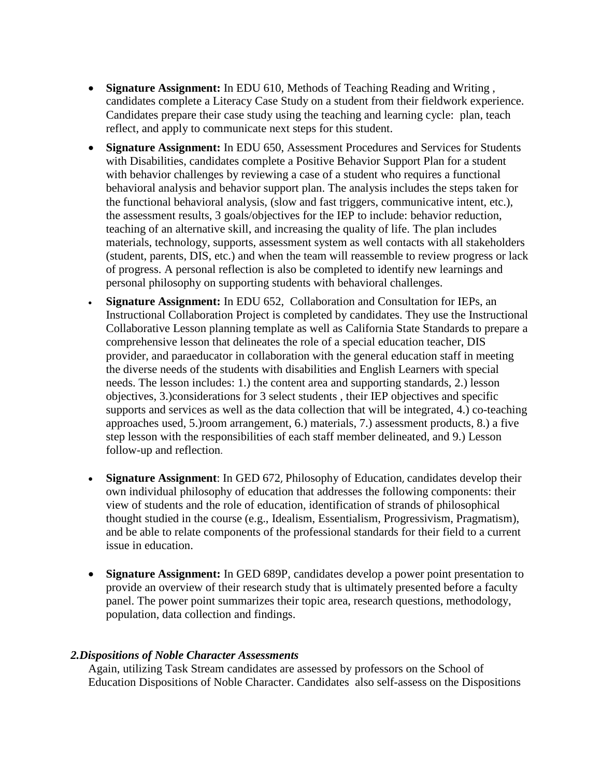- **Signature Assignment:** In EDU 610, Methods of Teaching Reading and Writing , candidates complete a Literacy Case Study on a student from their fieldwork experience. Candidates prepare their case study using the teaching and learning cycle: plan, teach reflect, and apply to communicate next steps for this student.
- **Signature Assignment:** In EDU 650, Assessment Procedures and Services for Students with Disabilities, candidates complete a Positive Behavior Support Plan for a student with behavior challenges by reviewing a case of a student who requires a functional behavioral analysis and behavior support plan. The analysis includes the steps taken for the functional behavioral analysis, (slow and fast triggers, communicative intent, etc.), the assessment results, 3 goals/objectives for the IEP to include: behavior reduction, teaching of an alternative skill, and increasing the quality of life. The plan includes materials, technology, supports, assessment system as well contacts with all stakeholders (student, parents, DIS, etc.) and when the team will reassemble to review progress or lack of progress. A personal reflection is also be completed to identify new learnings and personal philosophy on supporting students with behavioral challenges.
- **Signature Assignment:** In EDU 652, Collaboration and Consultation for IEPs, an Instructional Collaboration Project is completed by candidates. They use the Instructional Collaborative Lesson planning template as well as California State Standards to prepare a comprehensive lesson that delineates the role of a special education teacher, DIS provider, and paraeducator in collaboration with the general education staff in meeting the diverse needs of the students with disabilities and English Learners with special needs. The lesson includes: 1.) the content area and supporting standards, 2.) lesson objectives, 3.)considerations for 3 select students , their IEP objectives and specific supports and services as well as the data collection that will be integrated, 4.) co-teaching approaches used, 5.)room arrangement, 6.) materials, 7.) assessment products, 8.) a five step lesson with the responsibilities of each staff member delineated, and 9.) Lesson follow-up and reflection.
- **Signature Assignment**: In GED 672, Philosophy of Education, candidates develop their own individual philosophy of education that addresses the following components: their view of students and the role of education, identification of strands of philosophical thought studied in the course (e.g., Idealism, Essentialism, Progressivism, Pragmatism), and be able to relate components of the professional standards for their field to a current issue in education.
- **Signature Assignment:** In GED 689P, candidates develop a power point presentation to provide an overview of their research study that is ultimately presented before a faculty panel. The power point summarizes their topic area, research questions, methodology, population, data collection and findings.

### *2.Dispositions of Noble Character Assessments*

Again, utilizing Task Stream candidates are assessed by professors on the School of Education Dispositions of Noble Character. Candidates also self-assess on the Dispositions